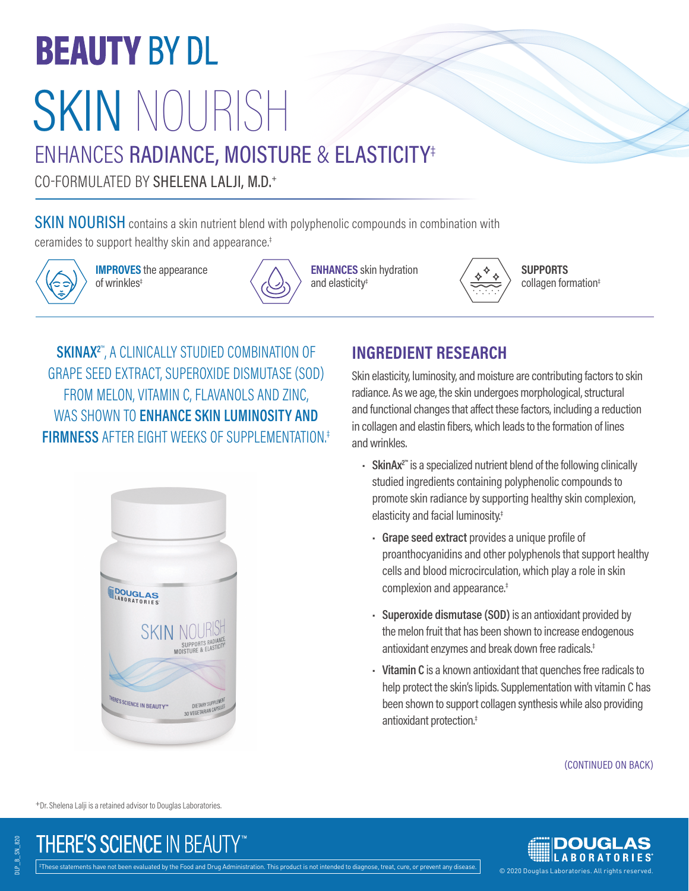# **BEAUTY BY DL** SKIN NOURISH

## ENHANCES RADIANCE, MOISTURE & ELASTICITY‡

CO-FORMULATED BY SHELENA LALJI, M.D.+

SKIN NOURISH contains a skin nutrient blend with polyphenolic compounds in combination with ceramides to support healthy skin and appearance.‡



**IMPROVES** the appearance of wrinkles‡



**ENHANCES** skin hydration and elasticity‡



**SUPPORTS** collagen formation‡

**SKINAX2**™ , A CLINICALLY STUDIED COMBINATION OF GRAPE SEED EXTRACT, SUPEROXIDE DISMUTASE (SOD) FROM MELON, VITAMIN C, FLAVANOLS AND ZINC, WAS SHOWN TO **ENHANCE SKIN LUMINOSITY AND FIRMNESS** AFTER EIGHT WEEKS OF SUPPLEMENTATION.‡



### **INGREDIENT RESEARCH**

Skin elasticity, luminosity, and moisture are contributing factors to skin radiance. As we age, the skin undergoes morphological, structural and functional changes that affect these factors, including a reduction in collagen and elastin fibers, which leads to the formation of lines and wrinkles.

- **SkinAx2™** is a specialized nutrient blend of the following clinically studied ingredients containing polyphenolic compounds to promote skin radiance by supporting healthy skin complexion, elasticity and facial luminosity.‡
	- **Grape seed extract** provides a unique profile of proanthocyanidins and other polyphenols that support healthy cells and blood microcirculation, which play a role in skin complexion and appearance.‡
	- **Superoxide dismutase (SOD)** is an antioxidant provided by the melon fruit that has been shown to increase endogenous antioxidant enzymes and break down free radicals.‡
	- **Vitamin C** is a known antioxidant that quenches free radicals to help protect the skin's lipids. Supplementation with vitamin C has been shown to support collagen synthesis while also providing antioxidant protection.‡

(CONTINUED ON BACK)

+Dr. Shelena Lalji is a retained advisor to Douglas Laboratories.

DLP\_B\_SN\_820

**JLP B SN 820**